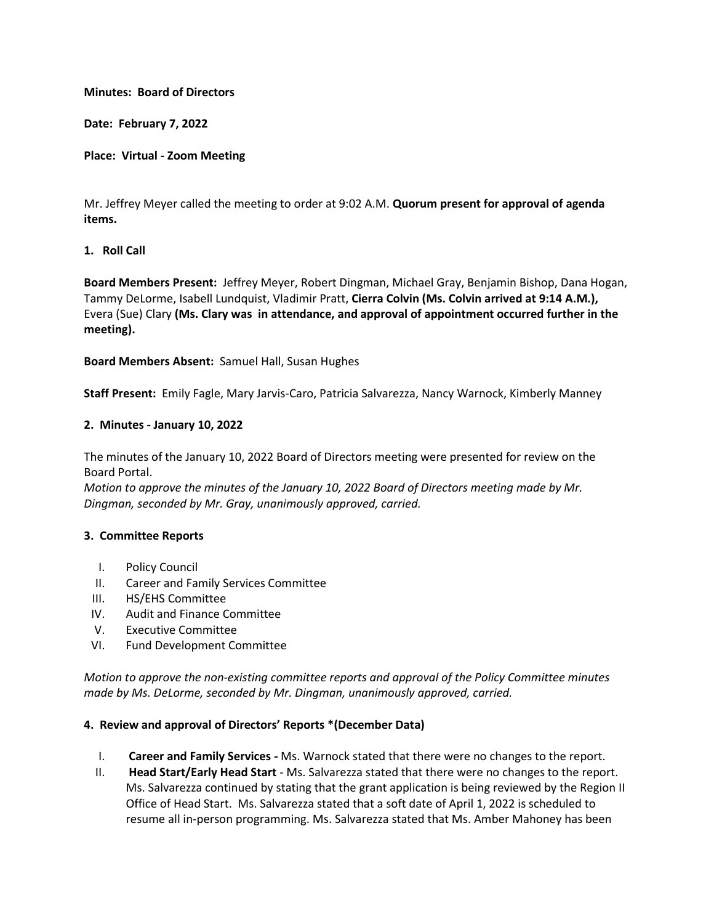## **Minutes: Board of Directors**

**Date: February 7, 2022**

#### **Place: Virtual - Zoom Meeting**

Mr. Jeffrey Meyer called the meeting to order at 9:02 A.M. **Quorum present for approval of agenda items.**

## **1. Roll Call**

**Board Members Present:** Jeffrey Meyer, Robert Dingman, Michael Gray, Benjamin Bishop, Dana Hogan, Tammy DeLorme, Isabell Lundquist, Vladimir Pratt, **Cierra Colvin (Ms. Colvin arrived at 9:14 A.M.),** Evera (Sue) Clary **(Ms. Clary was in attendance, and approval of appointment occurred further in the meeting).**

**Board Members Absent:** Samuel Hall, Susan Hughes

**Staff Present:** Emily Fagle, Mary Jarvis-Caro, Patricia Salvarezza, Nancy Warnock, Kimberly Manney

#### **2. Minutes - January 10, 2022**

The minutes of the January 10, 2022 Board of Directors meeting were presented for review on the Board Portal.

*Motion to approve the minutes of the January 10, 2022 Board of Directors meeting made by Mr. Dingman, seconded by Mr. Gray, unanimously approved, carried.*

## **3. Committee Reports**

- I. Policy Council
- II. Career and Family Services Committee
- III. HS/EHS Committee
- IV. Audit and Finance Committee
- V. Executive Committee
- VI. Fund Development Committee

*Motion to approve the non-existing committee reports and approval of the Policy Committee minutes made by Ms. DeLorme, seconded by Mr. Dingman, unanimously approved, carried.*

#### **4. Review and approval of Directors' Reports \*(December Data)**

- I. **Career and Family Services -** Ms. Warnock stated that there were no changes to the report.
- II. **Head Start/Early Head Start**  Ms. Salvarezza stated that there were no changes to the report. Ms. Salvarezza continued by stating that the grant application is being reviewed by the Region II Office of Head Start. Ms. Salvarezza stated that a soft date of April 1, 2022 is scheduled to resume all in-person programming. Ms. Salvarezza stated that Ms. Amber Mahoney has been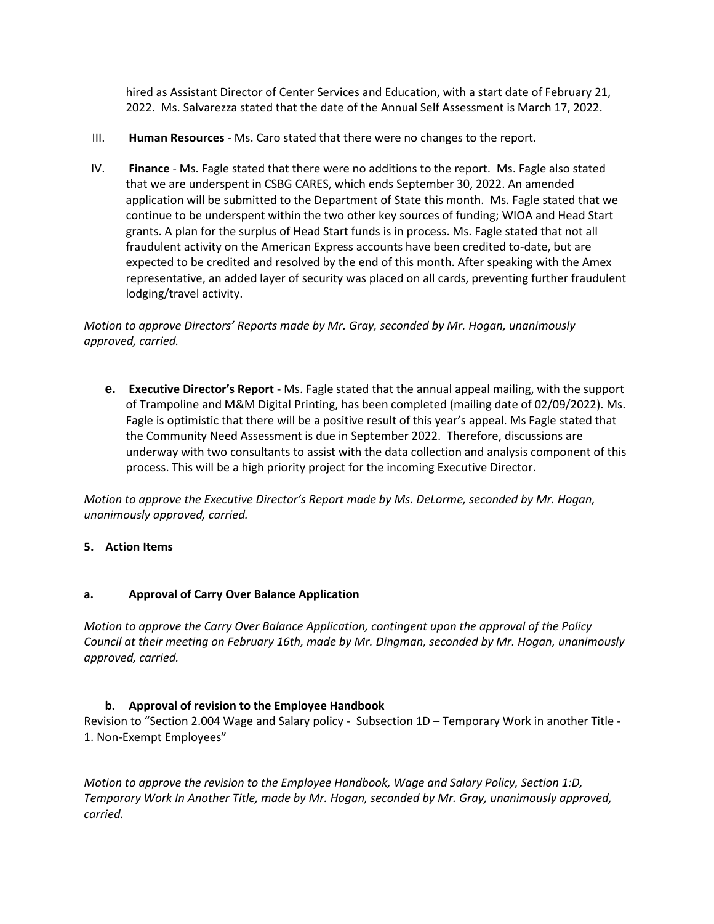hired as Assistant Director of Center Services and Education, with a start date of February 21, 2022. Ms. Salvarezza stated that the date of the Annual Self Assessment is March 17, 2022.

- III. **Human Resources**  Ms. Caro stated that there were no changes to the report.
- IV. **Finance**  Ms. Fagle stated that there were no additions to the report. Ms. Fagle also stated that we are underspent in CSBG CARES, which ends September 30, 2022. An amended application will be submitted to the Department of State this month. Ms. Fagle stated that we continue to be underspent within the two other key sources of funding; WIOA and Head Start grants. A plan for the surplus of Head Start funds is in process. Ms. Fagle stated that not all fraudulent activity on the American Express accounts have been credited to-date, but are expected to be credited and resolved by the end of this month. After speaking with the Amex representative, an added layer of security was placed on all cards, preventing further fraudulent lodging/travel activity.

*Motion to approve Directors' Reports made by Mr. Gray, seconded by Mr. Hogan, unanimously approved, carried.*

**e. Executive Director's Report** - Ms. Fagle stated that the annual appeal mailing, with the support of Trampoline and M&M Digital Printing, has been completed (mailing date of 02/09/2022). Ms. Fagle is optimistic that there will be a positive result of this year's appeal. Ms Fagle stated that the Community Need Assessment is due in September 2022. Therefore, discussions are underway with two consultants to assist with the data collection and analysis component of this process. This will be a high priority project for the incoming Executive Director.

*Motion to approve the Executive Director's Report made by Ms. DeLorme, seconded by Mr. Hogan, unanimously approved, carried.*

# **5. Action Items**

# **a. Approval of Carry Over Balance Application**

*Motion to approve the Carry Over Balance Application, contingent upon the approval of the Policy Council at their meeting on February 16th, made by Mr. Dingman, seconded by Mr. Hogan, unanimously approved, carried.*

# **b. Approval of revision to the Employee Handbook**

Revision to "Section 2.004 Wage and Salary policy - Subsection 1D – Temporary Work in another Title - 1. Non-Exempt Employees"

*Motion to approve the revision to the Employee Handbook, Wage and Salary Policy, Section 1:D, Temporary Work In Another Title, made by Mr. Hogan, seconded by Mr. Gray, unanimously approved, carried.*